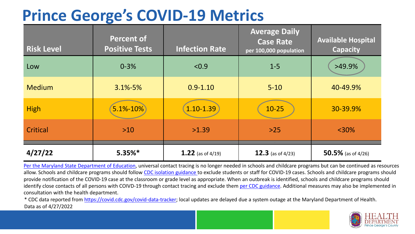## **Prince George's COVID-19 Metrics**

| <b>Risk Level</b> | <b>Percent of</b><br><b>Positive Tests</b> | <b>Infection Rate</b> | <b>Average Daily</b><br><b>Case Rate</b><br>per 100,000 population | <b>Available Hospital</b><br><b>Capacity</b> |
|-------------------|--------------------------------------------|-----------------------|--------------------------------------------------------------------|----------------------------------------------|
| Low               | $0 - 3%$                                   | < 0.9                 | $1 - 5$                                                            | $>49.9\%$                                    |
| <b>Medium</b>     | $3.1\% - 5\%$                              | $0.9 - 1.10$          | $5 - 10$                                                           | 40-49.9%                                     |
| <b>High</b>       | $5.1% - 10%$                               | 1.10-1.39             | $10 - 25$                                                          | 30-39.9%                                     |
| Critical          | $>10$                                      | >1.39                 | $>25$                                                              | $<$ 30%                                      |
| 4/27/22           | $5.35%$ *                                  | 1.22 (as of $4/19$ )  | 12.3 (as of $4/23$ )                                               | 50.5% (as of $4/26$ )                        |

[Per the Maryland State Department of Education,](https://earlychildhood.marylandpublicschools.org/system/files/filedepot/3/covid_guidance_full_080420.pdf) universal contact tracing is no longer needed in schools and childcare programs but can be continued as resources allow. Schools and childcare programs should follow [CDC isolation guidance t](https://www.cdc.gov/coronavirus/2019-ncov/community/schools-childcare/k-12-contact-tracing/about-isolation.html)o exclude students or staff for COVID-19 cases. Schools and childcare programs should provide notification of the COVID-19 case at the classroom or grade level as appropriate. When an outbreak is identified, schools and childcare programs should identify close contacts of all persons with COIVD-19 through contact tracing and exclude them [per CDC guidance](https://www.cdc.gov/coronavirus/2019-ncov/your-health/quarantine-isolation.html). Additional measures may also be implemented in consultation with the health department.

\* CDC data reported from [https://covid.cdc.gov/covid-data-tracker;](https://covid.cdc.gov/covid-data-tracker) local updates are delayed due a system outage at the Maryland Department of Health. Data as of 4/27/2022

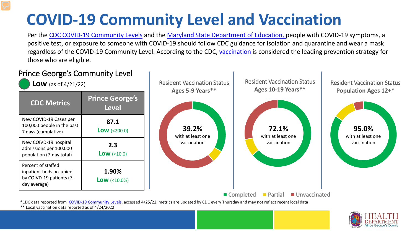# **COVID-19 Community Level and Vaccination**

Per the [CDC COVID-19 Community Levels](https://www.cdc.gov/coronavirus/2019-ncov/science/community-levels.html#anchor_82254) and the [Maryland State Department of Education,](https://earlychildhood.marylandpublicschools.org/system/files/filedepot/3/covid_guidance_full_080420.pdf) people with COVID-19 symptoms, a positive test, or exposure to someone with COVID-19 should follow CDC guidance for isolation and quarantine and wear a mask regardless of the COVID-19 Community Level. According to the CDC, [vaccination](https://www.cdc.gov/coronavirus/2019-ncov/prevent-getting-sick/prevention.html) is considered the leading prevention strategy for those who are eligible.



\*\* Local vaccination data reported as of 4/24/2022

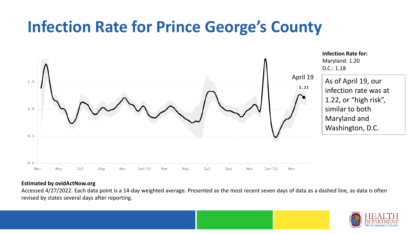## **Infection Rate for Prince George's County**



#### **Estimated by ovidActNow.org**

Accessed 4/27/2022. Each data point is a 14-day weighted average. Presented as the most recent seven days of data as a dashed line, as data is often revised by states several days after reporting.

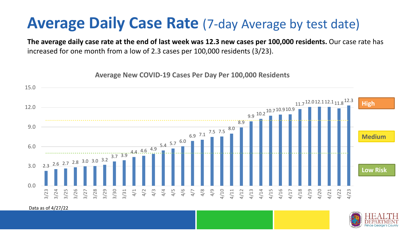### **Average Daily Case Rate** (7-day Average by test date)

**The average daily case rate at the end of last week was 12.3 new cases per 100,000 residents.** Our case rate has increased for one month from a low of 2.3 cases per 100,000 residents (3/23).

**Average New COVID-19 Cases Per Day Per 100,000 Residents**



Data as of 4/27/22